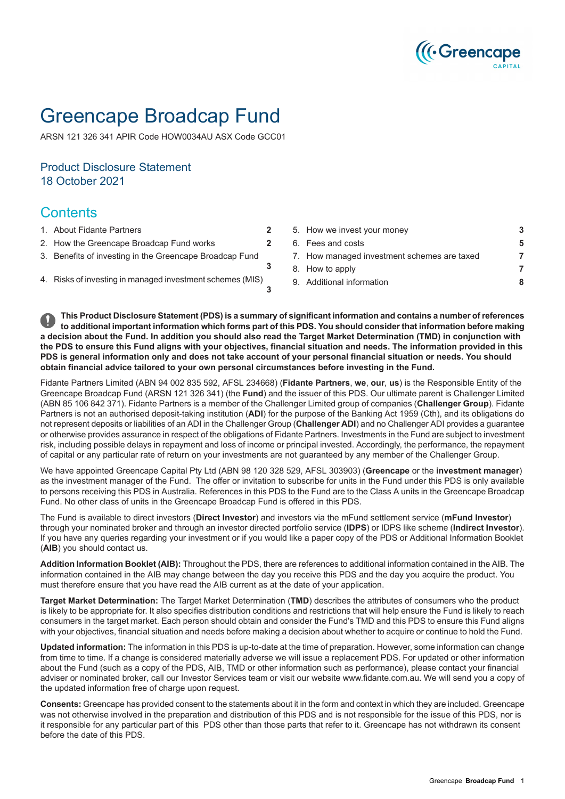

# Greencape Broadcap Fund

ARSN 121 326 341 APIR Code HOW0034AU ASX Code GCC01

## Product Disclosure Statement 18 October 2021

## **Contents**

- 
- 
- 3. Benefits of investing in the [Greencape](#page-2-1) Broadcap Fund
- 

1. About Fidante [Partners](#page-1-0) **[2](#page-1-0)** 5. How we invest your [money](#page-2-0) **[3](#page-2-0)** 2. How the [Greencape](#page-1-1) Broadcap Fund works **[2](#page-1-1)** 6. Fees and [costs](#page-4-0) **[5](#page-4-0)** 7. How managed [investment](#page-6-0) schemes are taxed **[7](#page-6-0)** 8. How to [apply](#page-6-1) **[7](#page-6-1)** 4. Risks of investing in managed [investment](#page-2-2) schemes (MIS) 9. Additional [information](#page-7-0) **[8](#page-7-0)**

This Product Disclosure Statement (PDS) is a summary of significant information and contains a number of references to additional important information which forms part of this PDS. You should consider that information before making a decision about the Fund. In addition you should also read the Target Market Determination (TMD) in conjunction with the PDS to ensure this Fund aligns with your objectives, financial situation and needs. The information provided in this PDS is general information only and does not take account of your personal financial situation or needs. You should **obtain financial advice tailored to your own personal circumstances before investing in the Fund.**

**[3](#page-2-1)**

**[3](#page-2-2)**

Fidante Partners Limited (ABN 94 002 835 592, AFSL 234668) (**Fidante Partners**, **we**, **our**, **us**) is the Responsible Entity of the Greencape Broadcap Fund (ARSN 121 326 341) (the **Fund**) and the issuer of this PDS. Our ultimate parent is Challenger Limited (ABN 85 106 842 371). Fidante Partners is a member of the Challenger Limited group of companies (**Challenger Group**). Fidante Partners is not an authorised deposit-taking institution (**ADI**) for the purpose of the Banking Act 1959 (Cth), and its obligations do not represent deposits or liabilities of an ADI in the Challenger Group (**Challenger ADI**) and no Challenger ADI provides a guarantee or otherwise provides assurance in respect of the obligations of Fidante Partners. Investments in the Fund are subject to investment risk, including possible delays in repayment and loss of income or principal invested. Accordingly, the performance, the repayment of capital or any particular rate of return on your investments are not guaranteed by any member of the Challenger Group.

We have appointed Greencape Capital Pty Ltd (ABN 98 120 328 529, AFSL 303903) (**Greencape** or the **investment manager**) as the investment manager of the Fund. The offer or invitation to subscribe for units in the Fund under this PDS is only available to persons receiving this PDS in Australia. References in this PDS to the Fund are to the Class A units in the Greencape Broadcap Fund. No other class of units in the Greencape Broadcap Fund is offered in this PDS.

The Fund is available to direct investors (**Direct Investor**) and investors via the mFund settlement service (**mFund Investor**) through your nominated broker and through an investor directed portfolio service (**IDPS**) or IDPS like scheme (**Indirect Investor**). If you have any queries regarding your investment or if you would like a paper copy of the PDS or Additional Information Booklet (**AIB**) you should contact us.

**Addition Information Booklet (AIB):** Throughout the PDS, there are references to additional information contained in the AIB. The information contained in the AIB may change between the day you receive this PDS and the day you acquire the product. You must therefore ensure that you have read the AIB current as at the date of your application.

**Target Market Determination:** The Target Market Determination (**TMD**) describes the attributes of consumers who the product is likely to be appropriate for. It also specifies distribution conditions and restrictions that will help ensure the Fund is likely to reach consumers in the target market. Each person should obtain and consider the Fund's TMD and this PDS to ensure this Fund aligns with your objectives, financial situation and needs before making a decision about whether to acquire or continue to hold the Fund.

**Updated information:** The information in this PDS is up-to-date at the time of preparation. However, some information can change from time to time. If a change is considered materially adverse we will issue a replacement PDS. For updated or other information about the Fund (such as a copy of the PDS, AIB, TMD or other information such as performance), please contact your financial adviser or nominated broker, call our Investor Services team or visit our website www.fidante.com.au. We will send you a copy of the updated information free of charge upon request.

**Consents:** Greencape has provided consent to the statements about it in the form and context in which they are included. Greencape was not otherwise involved in the preparation and distribution of this PDS and is not responsible for the issue of this PDS, nor is it responsible for any particular part of this PDS other than those parts that refer to it. Greencape has not withdrawn its consent before the date of this PDS.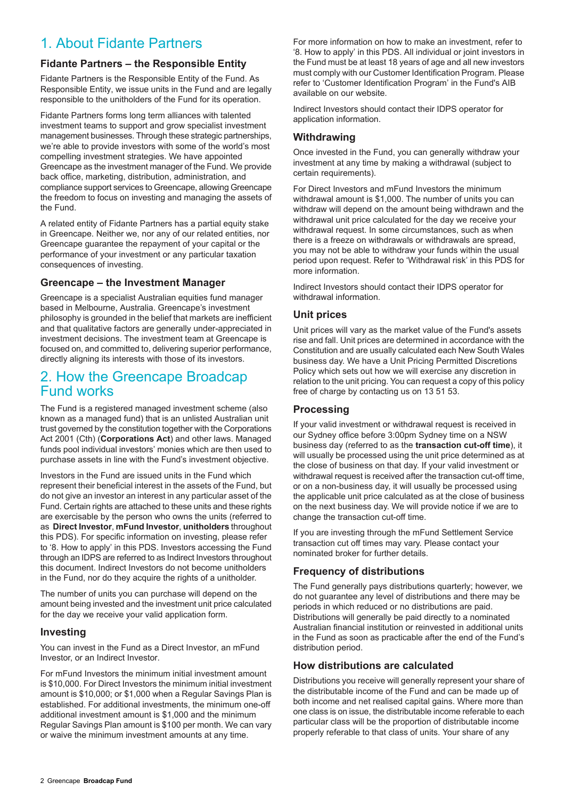## <span id="page-1-0"></span>1. About Fidante Partners

## **Fidante Partners – the Responsible Entity**

Fidante Partners is the Responsible Entity of the Fund. As Responsible Entity, we issue units in the Fund and are legally responsible to the unitholders of the Fund for its operation.

Fidante Partners forms long term alliances with talented investment teams to support and grow specialist investment management businesses. Through these strategic partnerships, we're able to provide investors with some of the world's most compelling investment strategies. We have appointed Greencape as the investment manager of the Fund. We provide back office, marketing, distribution, administration, and compliance support services to Greencape, allowing Greencape the freedom to focus on investing and managing the assets of the Fund.

A related entity of Fidante Partners has a partial equity stake in Greencape. Neither we, nor any of our related entities, nor Greencape guarantee the repayment of your capital or the performance of your investment or any particular taxation consequences of investing.

### **Greencape – the Investment Manager**

Greencape is a specialist Australian equities fund manager based in Melbourne, Australia. Greencape's investment philosophy is grounded in the belief that markets are inefficient and that qualitative factors are generally under-appreciated in investment decisions. The investment team at Greencape is focused on, and committed to, delivering superior performance, directly aligning its interests with those of its investors.

## <span id="page-1-1"></span>2. How the Greencape Broadcap Fund works

The Fund is a registered managed investment scheme (also known as a managed fund) that is an unlisted Australian unit trust governed by the constitution together with the Corporations Act 2001 (Cth) (**Corporations Act**) and other laws. Managed funds pool individual investors' monies which are then used to purchase assets in line with the Fund's investment objective.

Investors in the Fund are issued units in the Fund which represent their beneficial interest in the assets of the Fund, but do not give an investor an interest in any particular asset of the Fund. Certain rights are attached to these units and these rights are exercisable by the person who owns the units (referred to as **Direct Investor**, **mFund Investor**, **unitholders** throughout this PDS). For specific information on investing, please refer to '8. How to apply' in this PDS. Investors accessing the Fund through an IDPS are referred to as Indirect Investors throughout this document. Indirect Investors do not become unitholders in the Fund, nor do they acquire the rights of a unitholder.

The number of units you can purchase will depend on the amount being invested and the investment unit price calculated for the day we receive your valid application form.

#### **Investing**

You can invest in the Fund as a Direct Investor, an mFund Investor, or an Indirect Investor.

For mFund Investors the minimum initial investment amount is \$10,000. For Direct Investors the minimum initial investment amount is \$10,000; or \$1,000 when a Regular Savings Plan is established. For additional investments, the minimum one-off additional investment amount is \$1,000 and the minimum Regular Savings Plan amount is \$100 per month. We can vary or waive the minimum investment amounts at any time.

For more information on how to make an investment, refer to '8. How to apply' in this PDS. All individual or joint investors in the Fund must be at least 18 years of age and all new investors must comply with our Customer Identification Program. Please refer to 'Customer Identification Program' in the Fund's AIB available on our website.

Indirect Investors should contact their IDPS operator for application information.

## **Withdrawing**

Once invested in the Fund, you can generally withdraw your investment at any time by making a withdrawal (subject to certain requirements).

For Direct Investors and mFund Investors the minimum withdrawal amount is \$1,000. The number of units you can withdraw will depend on the amount being withdrawn and the withdrawal unit price calculated for the day we receive your withdrawal request. In some circumstances, such as when there is a freeze on withdrawals or withdrawals are spread, you may not be able to withdraw your funds within the usual period upon request. Refer to 'Withdrawal risk' in this PDS for more information.

Indirect Investors should contact their IDPS operator for withdrawal information.

### **Unit prices**

Unit prices will vary as the market value of the Fund's assets rise and fall. Unit prices are determined in accordance with the Constitution and are usually calculated each New South Wales business day. We have a Unit Pricing Permitted Discretions Policy which sets out how we will exercise any discretion in relation to the unit pricing. You can request a copy of this policy free of charge by contacting us on 13 51 53.

### **Processing**

If your valid investment or withdrawal request is received in our Sydney office before 3:00pm Sydney time on a NSW business day (referred to as the **transaction cut-off time**), it will usually be processed using the unit price determined as at the close of business on that day. If your valid investment or withdrawal request is received after the transaction cut-off time, or on a non-business day, it will usually be processed using the applicable unit price calculated as at the close of business on the next business day. We will provide notice if we are to change the transaction cut-off time.

If you are investing through the mFund Settlement Service transaction cut off times may vary. Please contact your nominated broker for further details.

### **Frequency of distributions**

The Fund generally pays distributions quarterly; however, we do not guarantee any level of distributions and there may be periods in which reduced or no distributions are paid. Distributions will generally be paid directly to a nominated Australian financial institution or reinvested in additional units in the Fund as soon as practicable after the end of the Fund's distribution period.

### **How distributions are calculated**

Distributions you receive will generally represent your share of the distributable income of the Fund and can be made up of both income and net realised capital gains. Where more than one class is on issue, the distributable income referable to each particular class will be the proportion of distributable income properly referable to that class of units. Your share of any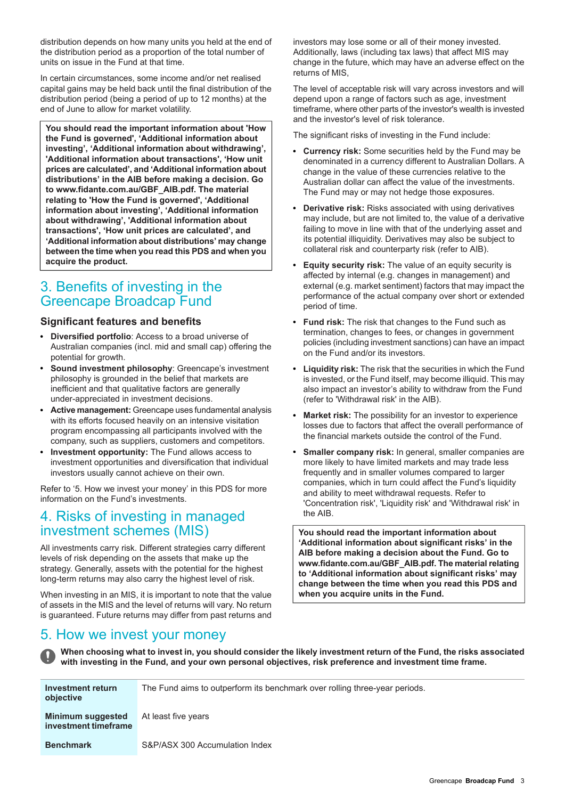distribution depends on how many units you held at the end of the distribution period as a proportion of the total number of units on issue in the Fund at that time.

In certain circumstances, some income and/or net realised capital gains may be held back until the final distribution of the distribution period (being a period of up to 12 months) at the end of June to allow for market volatility.

**You should read the important information about 'How the Fund is governed', 'Additional information about investing', 'Additional information about withdrawing', 'Additional information about transactions', 'How unit prices are calculated', and 'Additional information about distributions' in the AIB before making a decision. Go to www.fidante.com.au/GBF\_AIB.pdf. The material relating to 'How the Fund is governed', 'Additional information about investing', 'Additional information about withdrawing', 'Additional information about transactions', 'How unit prices are calculated', and 'Additional information about distributions' may change between the time when you read this PDS and when you acquire the product.**

## <span id="page-2-1"></span>3. Benefits of investing in the Greencape Broadcap Fund

### **Significant features and benefits**

- **Diversified portfolio**: Access to a broad universe of Australian companies (incl. mid and small cap) offering the potential for growth.
- **Sound investment philosophy**: Greencape's investment philosophy is grounded in the belief that markets are inefficient and that qualitative factors are generally under-appreciated in investment decisions.
- **Active management:** Greencape uses fundamental analysis with its efforts focused heavily on an intensive visitation program encompassing all participants involved with the company, such as suppliers, customers and competitors.
- <span id="page-2-2"></span>**Investment opportunity:** The Fund allows access to investment opportunities and diversification that individual investors usually cannot achieve on their own.

Refer to '5. How we invest your money' in this PDS for more information on the Fund's investments.

## 4. Risks of investing in managed investment schemes (MIS)

<span id="page-2-0"></span>All investments carry risk. Different strategies carry different levels of risk depending on the assets that make up the strategy. Generally, assets with the potential for the highest long-term returns may also carry the highest level of risk.

When investing in an MIS, it is important to note that the value of assets in the MIS and the level of returns will vary. No return is guaranteed. Future returns may differ from past returns and

investors may lose some or all of their money invested. Additionally, laws (including tax laws) that affect MIS may change in the future, which may have an adverse effect on the returns of MIS,

The level of acceptable risk will vary across investors and will depend upon a range of factors such as age, investment timeframe, where other parts of the investor's wealth is invested and the investor's level of risk tolerance.

The significant risks of investing in the Fund include:

- **Currency risk:** Some securities held by the Fund may be denominated in a currency different to Australian Dollars. A change in the value of these currencies relative to the Australian dollar can affect the value of the investments. The Fund may or may not hedge those exposures.
- **Derivative risk:** Risks associated with using derivatives may include, but are not limited to, the value of a derivative failing to move in line with that of the underlying asset and its potential illiquidity. Derivatives may also be subject to collateral risk and counterparty risk (refer to AIB).
- **Equity security risk:** The value of an equity security is  $\bullet$ affected by internal (e.g. changes in management) and external (e.g. market sentiment) factors that may impact the performance of the actual company over short or extended period of time.
- **Fund risk:** The risk that changes to the Fund such as termination, changes to fees, or changes in government policies (including investment sanctions) can have an impact on the Fund and/or its investors.
- **Liquidity risk:** The risk that the securities in which the Fund is invested, or the Fund itself, may become illiquid. This may also impact an investor's ability to withdraw from the Fund (refer to 'Withdrawal risk' in the AIB).
- **Market risk:** The possibility for an investor to experience losses due to factors that affect the overall performance of the financial markets outside the control of the Fund.
- **Smaller company risk:** In general, smaller companies are  $\bullet$ more likely to have limited markets and may trade less frequently and in smaller volumes compared to larger companies, which in turn could affect the Fund's liquidity and ability to meet withdrawal requests. Refer to 'Concentration risk', 'Liquidity risk' and 'Withdrawal risk' in the AIB.

**You should read the important information about 'Additional information about significant risks' in the AIB before making a decision about the Fund. Go to www.fidante.com.au/GBF\_AIB.pdf. The material relating to 'Additional information about significant risks' may change between the time when you read this PDS and when you acquire units in the Fund.**

## 5. How we invest your money

When choosing what to invest in, you should consider the likely investment return of the Fund, the risks associated **with investing in the Fund, and your own personal objectives, risk preference and investment time frame.**

| Investment return<br>objective            | The Fund aims to outperform its benchmark over rolling three-year periods. |
|-------------------------------------------|----------------------------------------------------------------------------|
| Minimum suggested<br>investment timeframe | At least five years                                                        |
| <b>Benchmark</b>                          | S&P/ASX 300 Accumulation Index                                             |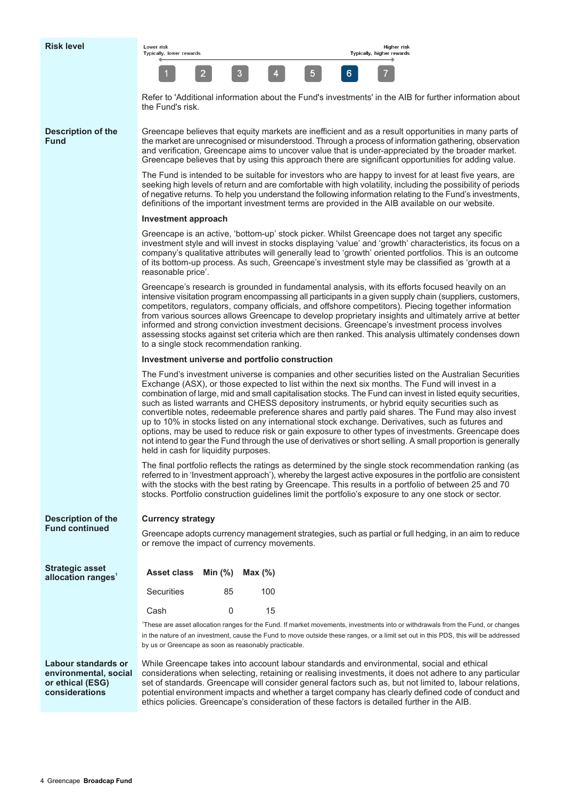| Lower risk<br>Typically, lower rewards |   |  |   | Higher risl<br>Typically, higher rewards |
|----------------------------------------|---|--|---|------------------------------------------|
|                                        | a |  | 6 |                                          |

Refer to 'Additional information about the Fund's investments' in the AIB for further information about the Fund's risk.

#### **Description of the Fund**

Greencape believes that equity markets are inefficient and as a result opportunities in many parts of the market are unrecognised or misunderstood. Through a process of information gathering, observation and verification, Greencape aims to uncover value that is under-appreciated by the broader market. Greencape believes that by using this approach there are significant opportunities for adding value.

The Fund is intended to be suitable for investors who are happy to invest for at least five years, are seeking high levels of return and are comfortable with high volatility, including the possibility of periods of negative returns. To help you understand the following information relating to the Fund's investments, definitions of the important investment terms are provided in the AIB available on our website.

#### **Investment approach**

Greencape is an active, 'bottom-up' stock picker. Whilst Greencape does not target any specific investment style and will invest in stocks displaying 'value' and 'growth' characteristics, its focus on a company's qualitative attributes will generally lead to 'growth' oriented portfolios. This is an outcome of its bottom-up process. As such, Greencape's investment style may be classified as 'growth at a reasonable price'.

Greencape's research is grounded in fundamental analysis, with its efforts focused heavily on an intensive visitation program encompassing all participants in a given supply chain (suppliers, customers, competitors, regulators, company officials, and offshore competitors). Piecing together information from various sources allows Greencape to develop proprietary insights and ultimately arrive at better informed and strong conviction investment decisions. Greencape's investment process involves assessing stocks against set criteria which are then ranked. This analysis ultimately condenses down to a single stock recommendation ranking.

#### **Investment universe and portfolio construction**

The Fund's investment universe is companies and other securities listed on the Australian Securities Exchange (ASX), or those expected to list within the next six months. The Fund will invest in a combination of large, mid and small capitalisation stocks. The Fund can invest in listed equity securities, such as listed warrants and CHESS depository instruments, or hybrid equity securities such as convertible notes, redeemable preference shares and partly paid shares. The Fund may also invest up to 10% in stocks listed on any international stock exchange. Derivatives, such as futures and options, may be used to reduce risk or gain exposure to other types of investments. Greencape does not intend to gear the Fund through the use of derivatives or short selling. A small proportion is generally held in cash for liquidity purposes.

The final portfolio reflects the ratings as determined by the single stock recommendation ranking (as referred to in 'Investment approach'), whereby the largest active exposures in the portfolio are consistent with the stocks with the best rating by Greencape. This results in a portfolio of between 25 and 70 stocks. Portfolio construction guidelines limit the portfolio's exposure to any one stock or sector.

potential environment impacts and whether a target company has clearly defined code of conduct and

ethics policies. Greencape's consideration of these factors is detailed further in the AIB.

| <b>Description of the</b><br><b>Fund continued</b>               | <b>Currency strategy</b><br>Greencape adopts currency management strategies, such as partial or full hedging, in an aim to reduce<br>or remove the impact of currency movements.                                                                                                                                               |          |            |                                                                                                                                                                                                                                                                                                                  |
|------------------------------------------------------------------|--------------------------------------------------------------------------------------------------------------------------------------------------------------------------------------------------------------------------------------------------------------------------------------------------------------------------------|----------|------------|------------------------------------------------------------------------------------------------------------------------------------------------------------------------------------------------------------------------------------------------------------------------------------------------------------------|
| Strategic asset<br>allocation ranges $^{\rm t}$                  | <b>Asset class</b>                                                                                                                                                                                                                                                                                                             | Min (%)  | Max $(\%)$ |                                                                                                                                                                                                                                                                                                                  |
|                                                                  | <b>Securities</b>                                                                                                                                                                                                                                                                                                              | 85       | 100        |                                                                                                                                                                                                                                                                                                                  |
|                                                                  | Cash                                                                                                                                                                                                                                                                                                                           | $\Omega$ | 15         |                                                                                                                                                                                                                                                                                                                  |
|                                                                  | These are asset allocation ranges for the Fund. If market movements, investments into or withdrawals from the Fund, or changes<br>in the nature of an investment, cause the Fund to move outside these ranges, or a limit set out in this PDS, this will be addressed<br>by us or Greencape as soon as reasonably practicable. |          |            |                                                                                                                                                                                                                                                                                                                  |
| Labour standards or<br>environmental, social<br>or ethical (ESG) |                                                                                                                                                                                                                                                                                                                                |          |            | While Greencape takes into account labour standards and environmental, social and ethical<br>considerations when selecting, retaining or realising investments, it does not adhere to any particular<br>set of standards. Greencape will consider general factors such as, but not limited to, labour relations, |

**considerations**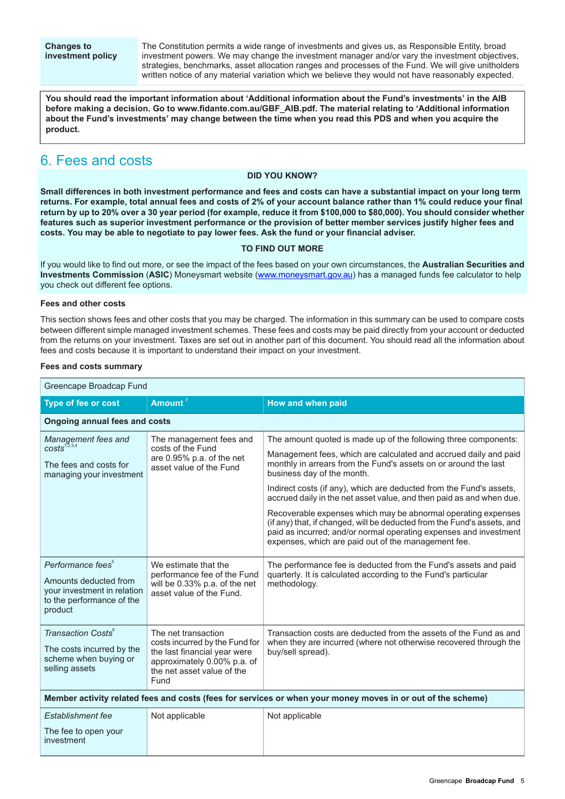The Constitution permits a wide range of investments and gives us, as Responsible Entity, broad investment powers. We may change the investment manager and/or vary the investment objectives, strategies, benchmarks, asset allocation ranges and processes of the Fund. We will give unitholders written notice of any material variation which we believe they would not have reasonably expected.

**You should read the important information about 'Additional information about the Fund's investments' in the AIB before making a decision. Go to www.fidante.com.au/GBF\_AIB.pdf. The material relating to 'Additional information** about the Fund's investments' may change between the time when you read this PDS and when you acquire the **product.**

## <span id="page-4-0"></span>6. Fees and costs

#### **DID YOU KNOW?**

Small differences in both investment performance and fees and costs can have a substantial impact on your long term returns. For example, total annual fees and costs of 2% of your account balance rather than 1% could reduce your final return by up to 20% over a 30 year period (for example, reduce it from \$100,000 to \$80,000). You should consider whether features such as superior investment performance or the provision of better member services justify higher fees and **costs. You may be able to negotiate to pay lower fees. Ask the fund or your financial adviser.**

#### **TO FIND OUT MORE**

If you would like to find out more, or see the impact of the fees based on your own circumstances, the **Australian Securities and Investments Commission** (**ASIC**) Moneysmart website ([www.moneysmart.gov.au\)](http://www.moneysmart.gov.au) has a managed funds fee calculator to help you check out different fee options.

#### **Fees and other costs**

This section shows fees and other costs that you may be charged. The information in this summary can be used to compare costs between different simple managed investment schemes. These fees and costs may be paid directly from your account or deducted from the returns on your investment. Taxes are set out in another part of this document. You should read all the information about fees and costs because it is important to understand their impact on your investment.

#### **Fees and costs summary**

| Greencape Broadcap Fund                                                                                                       |                                                                                                                                                            |                                                                                                                                                                                                                                                                                                                                                                                                                                                                                                                                                                                                      |  |  |
|-------------------------------------------------------------------------------------------------------------------------------|------------------------------------------------------------------------------------------------------------------------------------------------------------|------------------------------------------------------------------------------------------------------------------------------------------------------------------------------------------------------------------------------------------------------------------------------------------------------------------------------------------------------------------------------------------------------------------------------------------------------------------------------------------------------------------------------------------------------------------------------------------------------|--|--|
| Type of fee or cost                                                                                                           | Amount <sup>7</sup>                                                                                                                                        | <b>How and when paid</b>                                                                                                                                                                                                                                                                                                                                                                                                                                                                                                                                                                             |  |  |
| <b>Ongoing annual fees and costs</b>                                                                                          |                                                                                                                                                            |                                                                                                                                                                                                                                                                                                                                                                                                                                                                                                                                                                                                      |  |  |
| Management fees and<br>$costs^{1,2,3,4}$<br>The fees and costs for<br>managing your investment                                | The management fees and<br>costs of the Fund<br>are 0.95% p.a. of the net<br>asset value of the Fund                                                       | The amount quoted is made up of the following three components:<br>Management fees, which are calculated and accrued daily and paid<br>monthly in arrears from the Fund's assets on or around the last<br>business day of the month.<br>Indirect costs (if any), which are deducted from the Fund's assets,<br>accrued daily in the net asset value, and then paid as and when due.<br>Recoverable expenses which may be abnormal operating expenses<br>(if any) that, if changed, will be deducted from the Fund's assets, and<br>paid as incurred; and/or normal operating expenses and investment |  |  |
| Performance fees <sup>5</sup><br>Amounts deducted from<br>your investment in relation<br>to the performance of the<br>product | We estimate that the<br>performance fee of the Fund<br>will be 0.33% p.a. of the net<br>asset value of the Fund.                                           | expenses, which are paid out of the management fee.<br>The performance fee is deducted from the Fund's assets and paid<br>quarterly. It is calculated according to the Fund's particular<br>methodology.                                                                                                                                                                                                                                                                                                                                                                                             |  |  |
| Transaction Costs <sup>6</sup><br>The costs incurred by the<br>scheme when buying or<br>selling assets                        | The net transaction<br>costs incurred by the Fund for<br>the last financial year were<br>approximately 0.00% p.a. of<br>the net asset value of the<br>Fund | Transaction costs are deducted from the assets of the Fund as and<br>when they are incurred (where not otherwise recovered through the<br>buy/sell spread).                                                                                                                                                                                                                                                                                                                                                                                                                                          |  |  |
| Member activity related fees and costs (fees for services or when your money moves in or out of the scheme)                   |                                                                                                                                                            |                                                                                                                                                                                                                                                                                                                                                                                                                                                                                                                                                                                                      |  |  |
| Establishment fee<br>The fee to open your<br>investment                                                                       | Not applicable                                                                                                                                             | Not applicable                                                                                                                                                                                                                                                                                                                                                                                                                                                                                                                                                                                       |  |  |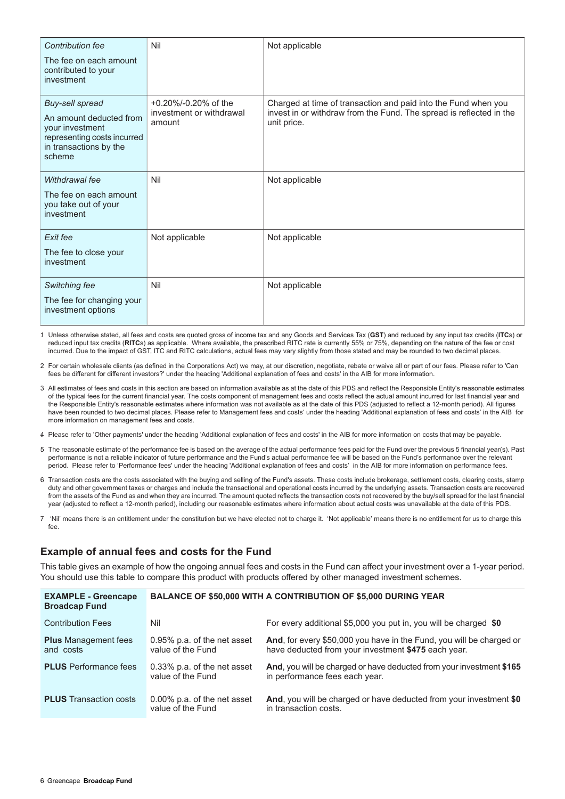| Contribution fee                                                                                                                        | Nil                                                            | Not applicable                                                                                                                                       |
|-----------------------------------------------------------------------------------------------------------------------------------------|----------------------------------------------------------------|------------------------------------------------------------------------------------------------------------------------------------------------------|
| The fee on each amount<br>contributed to your<br>investment                                                                             |                                                                |                                                                                                                                                      |
| <b>Buy-sell spread</b><br>An amount deducted from<br>your investment<br>representing costs incurred<br>in transactions by the<br>scheme | $+0.20\%$ /-0.20% of the<br>investment or withdrawal<br>amount | Charged at time of transaction and paid into the Fund when you<br>invest in or withdraw from the Fund. The spread is reflected in the<br>unit price. |
| Withdrawal fee<br>The fee on each amount<br>you take out of your<br>investment                                                          | Nil                                                            | Not applicable                                                                                                                                       |
| Exit fee<br>The fee to close your<br>investment                                                                                         | Not applicable                                                 | Not applicable                                                                                                                                       |
| Switching fee<br>The fee for changing your<br>investment options                                                                        | Nil                                                            | Not applicable                                                                                                                                       |

- 1. Unless otherwise stated, all fees and costs are quoted gross of income tax and any Goods and Services Tax (**GST**) and reduced by any input tax credits (**ITC**s) or reduced input tax credits (**RITC**s) as applicable. Where available, the prescribed RITC rate is currently 55% or 75%, depending on the nature of the fee or cost incurred. Due to the impact of GST, ITC and RITC calculations, actual fees may vary slightly from those stated and may be rounded to two decimal places.
- 2. For certain wholesale clients (as defined in the Corporations Act) we may, at our discretion, negotiate, rebate or waive all or part of our fees. Please refer to 'Can fees be different for different investors?' under the heading 'Additional explanation of fees and costs' in the AIB for more information.
- 3. All estimates of fees and costs in this section are based on information available as at the date of this PDS and reflect the Responsible Entity's reasonable estimates of the typical fees for the current financial year. The costs component of management fees and costs reflect the actual amount incurred for last financial year and the Responsible Entity's reasonable estimates where information was not available as at the date of this PDS (adjusted to reflect a 12-month period). All figures have been rounded to two decimal places. Please refer to Management fees and costs' under the heading 'Additional explanation of fees and costs' in the AIB for more information on management fees and costs.
- 4. Please refer to 'Other payments' under the heading 'Additional explanation of fees and costs' in the AIB for more information on costs that may be payable.
- 5. The reasonable estimate of the performance fee is based on the average of the actual performance fees paid for the Fund over the previous 5 financial year(s). Past performance is not a reliable indicator of future performance and the Fund's actual performance fee will be based on the Fund's performance over the relevant period. Please refer to 'Performance fees' under the heading 'Additional explanation of fees and costs' in the AIB for more information on performance fees.
- 6. Transaction costs are the costs associated with the buying and selling of the Fund's assets. These costs include brokerage, settlement costs, clearing costs, stamp duty and other government taxes or charges and include the transactional and operational costs incurred by the underlying assets. Transaction costs are recovered from the assets of the Fund as and when they are incurred. The amount quoted reflects the transaction costs not recovered by the buy/sell spread for the last financial year (adjusted to reflect a 12-month period), including our reasonable estimates where information about actual costs was unavailable at the date of this PDS.
- 7. 'Nil' means there is an entitlement under the constitution but we have elected not to charge it. 'Not applicable' means there is no entitlement for us to charge this fee.

#### **Example of annual fees and costs for the Fund**

This table gives an example of how the ongoing annual fees and costs in the Fund can affect your investment over a 1-year period. You should use this table to compare this product with products offered by other managed investment schemes.

| <b>EXAMPLE - Greencape</b><br><b>Broadcap Fund</b> | <b>BALANCE OF \$50,000 WITH A CONTRIBUTION OF \$5,000 DURING YEAR</b> |                                                                                                                             |  |
|----------------------------------------------------|-----------------------------------------------------------------------|-----------------------------------------------------------------------------------------------------------------------------|--|
| <b>Contribution Fees</b>                           | Nil                                                                   | For every additional \$5,000 you put in, you will be charged \$0                                                            |  |
| <b>Plus</b> Management fees<br>and costs           | 0.95% p.a. of the net asset<br>value of the Fund                      | And, for every \$50,000 you have in the Fund, you will be charged or<br>have deducted from your investment \$475 each year. |  |
| <b>PLUS</b> Performance fees                       | 0.33% p.a. of the net asset<br>value of the Fund                      | And, you will be charged or have deducted from your investment \$165<br>in performance fees each year.                      |  |
| <b>PLUS</b> Transaction costs                      | 0.00% p.a. of the net asset<br>value of the Fund                      | And, you will be charged or have deducted from your investment \$0<br>in transaction costs.                                 |  |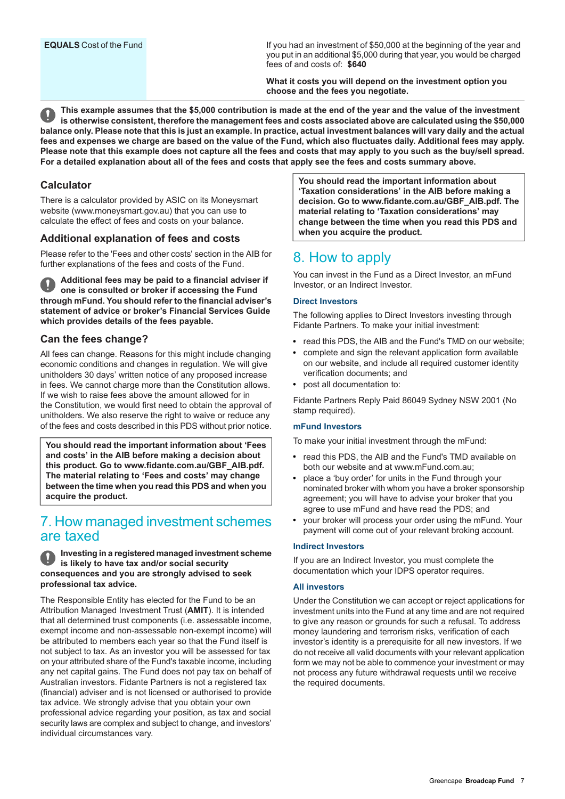If you had an investment of \$50,000 at the beginning of the year and you put in an additional \$5,000 during that year, you would be charged fees of and costs of: **\$640**

**What it costs you will depend on the investment option you choose and the fees you negotiate.**

This example assumes that the \$5,000 contribution is made at the end of the year and the value of the investment is otherwise consistent, therefore the management fees and costs associated above are calculated using the \$50,000 balance only. Please note that this is just an example. In practice, actual investment balances will vary daily and the actual fees and expenses we charge are based on the value of the Fund, which also fluctuates daily. Additional fees may apply. Please note that this example does not capture all the fees and costs that may apply to you such as the buy/sell spread. For a detailed explanation about all of the fees and costs that apply see the fees and costs summary above.

### **Calculator**

There is a calculator provided by ASIC on its Moneysmart website (www.moneysmart.gov.au) that you can use to calculate the effect of fees and costs on your balance.

### **Additional explanation of fees and costs**

Please refer to the 'Fees and other costs' section in the AIB for further explanations of the fees and costs of the Fund.

**Additional fees may be paid to a financial adviser if one is consulted or broker if accessing the Fund through mFund. You should refer to the financial adviser's statement of advice or broker's Financial Services Guide which provides details of the fees payable.**

#### **Can the fees change?**

All fees can change. Reasons for this might include changing economic conditions and changes in regulation. We will give unitholders 30 days' written notice of any proposed increase in fees. We cannot charge more than the Constitution allows. If we wish to raise fees above the amount allowed for in the Constitution, we would first need to obtain the approval of unitholders. We also reserve the right to waive or reduce any of the fees and costs described in this PDS without prior notice.

<span id="page-6-0"></span>**You should read the important information about 'Fees and costs' in the AIB before making a decision about this product. Go to www.fidante.com.au/GBF\_AIB.pdf. The material relating to 'Fees and costs' may change between the time when you read this PDS and when you acquire the product.**

## 7. How managed investment schemes are taxed

#### **Investing in a registered managed investment scheme is likely to have tax and/or social security consequences and you are strongly advised to seek professional tax advice.**

The Responsible Entity has elected for the Fund to be an Attribution Managed Investment Trust (**AMIT**). It is intended that all determined trust components (i.e. assessable income, exempt income and non-assessable non-exempt income) will be attributed to members each year so that the Fund itself is not subject to tax. As an investor you will be assessed for tax on your attributed share of the Fund's taxable income, including any net capital gains. The Fund does not pay tax on behalf of Australian investors. Fidante Partners is not a registered tax (financial) adviser and is not licensed or authorised to provide tax advice. We strongly advise that you obtain your own professional advice regarding your position, as tax and social security laws are complex and subject to change, and investors' individual circumstances vary.

**You should read the important information about 'Taxation considerations' in the AIB before making a decision. Go to www.fidante.com.au/GBF\_AIB.pdf. The material relating to 'Taxation considerations' may change between the time when you read this PDS and when you acquire the product.**

## <span id="page-6-1"></span>8. How to apply

You can invest in the Fund as a Direct Investor, an mFund Investor, or an Indirect Investor.

#### **Direct Investors**

The following applies to Direct Investors investing through Fidante Partners. To make your initial investment:

- read this PDS, the AIB and the Fund's TMD on our website;
- complete and sign the relevant application form available on our website, and include all required customer identity verification documents; and
- post all documentation to:

Fidante Partners Reply Paid 86049 Sydney NSW 2001 (No stamp required).

#### **mFund Investors**

To make your initial investment through the mFund:

- read this PDS, the AIB and the Fund's TMD available on both our website and at www.mFund.com.au;
- place a 'buy order' for units in the Fund through your nominated broker with whom you have a broker sponsorship agreement; you will have to advise your broker that you agree to use mFund and have read the PDS; and
- your broker will process your order using the mFund. Your payment will come out of your relevant broking account.

#### **Indirect Investors**

If you are an Indirect Investor, you must complete the documentation which your IDPS operator requires.

#### **All investors**

Under the Constitution we can accept or reject applications for investment units into the Fund at any time and are not required to give any reason or grounds for such a refusal. To address money laundering and terrorism risks, verification of each investor's identity is a prerequisite for all new investors. If we do not receive all valid documents with your relevant application form we may not be able to commence your investment or may not process any future withdrawal requests until we receive the required documents.